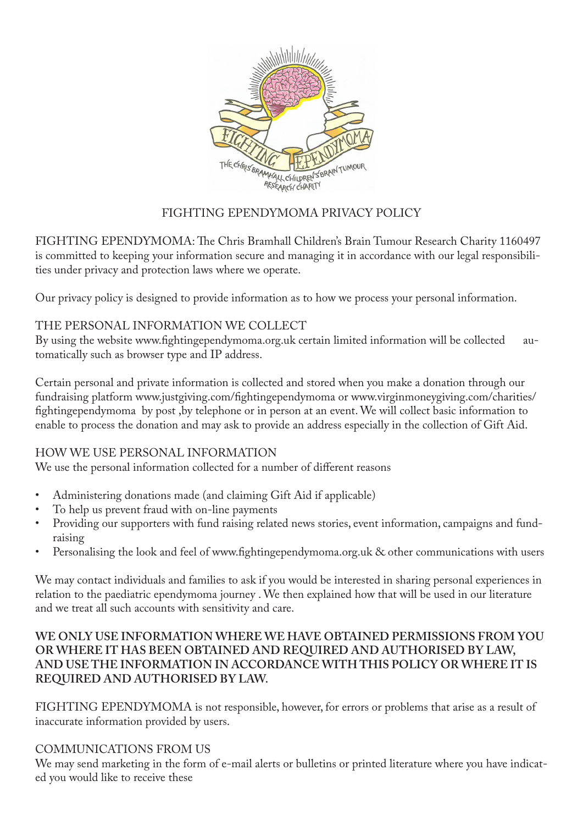

# FIGHTING EPENDYMOMA PRIVACY POLICY

FIGHTING EPENDYMOMA: The Chris Bramhall Children's Brain Tumour Research Charity 1160497 is committed to keeping your information secure and managing it in accordance with our legal responsibilities under privacy and protection laws where we operate.

Our privacy policy is designed to provide information as to how we process your personal information.

#### THE PERSONAL INFORMATION WE COLLECT

By using the website www.fightingependymoma.org.uk certain limited information will be collected automatically such as browser type and IP address.

Certain personal and private information is collected and stored when you make a donation through our fundraising platform www.justgiving.com/fightingependymoma or www.virginmoneygiving.com/charities/ fightingependymoma by post ,by telephone or in person at an event. We will collect basic information to enable to process the donation and may ask to provide an address especially in the collection of Gift Aid.

#### HOW WE USE PERSONAL INFORMATION

We use the personal information collected for a number of different reasons

- Administering donations made (and claiming Gift Aid if applicable)
- To help us prevent fraud with on-line payments
- Providing our supporters with fund raising related news stories, event information, campaigns and fundraising
- Personalising the look and feel of www.fightingependymoma.org.uk & other communications with users

We may contact individuals and families to ask if you would be interested in sharing personal experiences in relation to the paediatric ependymoma journey . We then explained how that will be used in our literature and we treat all such accounts with sensitivity and care.

#### **WE ONLY USE INFORMATION WHERE WE HAVE OBTAINED PERMISSIONS FROM YOU OR WHERE IT HAS BEEN OBTAINED AND REQUIRED AND AUTHORISED BY LAW, AND USE THE INFORMATION IN ACCORDANCE WITH THIS POLICY OR WHERE IT IS REQUIRED AND AUTHORISED BY LAW.**

FIGHTING EPENDYMOMA is not responsible, however, for errors or problems that arise as a result of inaccurate information provided by users.

## COMMUNICATIONS FROM US

We may send marketing in the form of e-mail alerts or bulletins or printed literature where you have indicated you would like to receive these